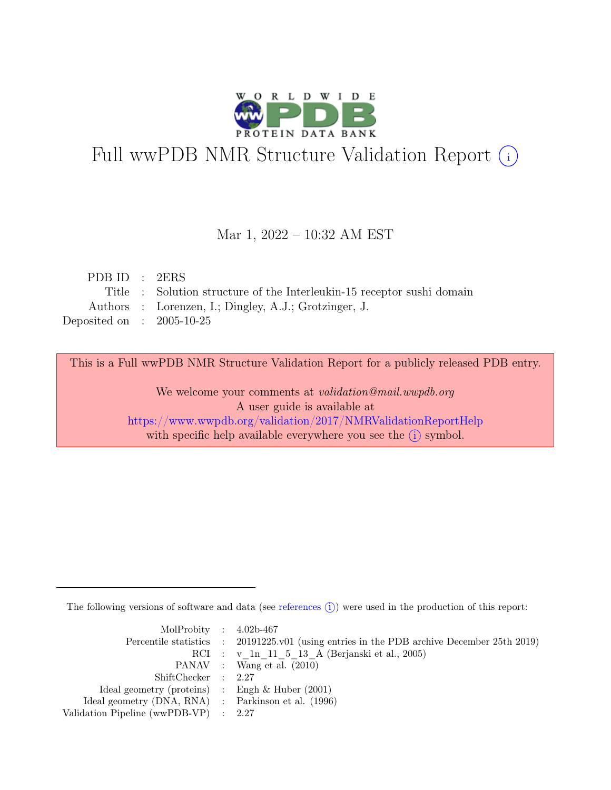

# Full wwPDB NMR Structure Validation Report (i)

### Mar 1, 2022 – 10:32 AM EST

| PDBID : 2ERS                |                                                                        |
|-----------------------------|------------------------------------------------------------------------|
|                             | Title : Solution structure of the Interleukin-15 receptor sushi domain |
|                             | Authors : Lorenzen, I.; Dingley, A.J.; Grotzinger, J.                  |
| Deposited on : $2005-10-25$ |                                                                        |

This is a Full wwPDB NMR Structure Validation Report for a publicly released PDB entry.

We welcome your comments at *validation@mail.wwpdb.org* A user guide is available at <https://www.wwpdb.org/validation/2017/NMRValidationReportHelp> with specific help available everywhere you see the  $(i)$  symbol.

The following versions of software and data (see [references](https://www.wwpdb.org/validation/2017/NMRValidationReportHelp#references)  $\hat{I}$ ) were used in the production of this report:

| MolProbity : $4.02b-467$                            |                                                                                            |
|-----------------------------------------------------|--------------------------------------------------------------------------------------------|
|                                                     | Percentile statistics : 20191225.v01 (using entries in the PDB archive December 25th 2019) |
|                                                     | RCI : v 1n 11 5 13 A (Berjanski et al., 2005)                                              |
|                                                     | PANAV : Wang et al. (2010)                                                                 |
| ShiftChecker : 2.27                                 |                                                                                            |
| Ideal geometry (proteins) : Engh $\&$ Huber (2001)  |                                                                                            |
| Ideal geometry (DNA, RNA) : Parkinson et al. (1996) |                                                                                            |
| Validation Pipeline (wwPDB-VP) : $2.27$             |                                                                                            |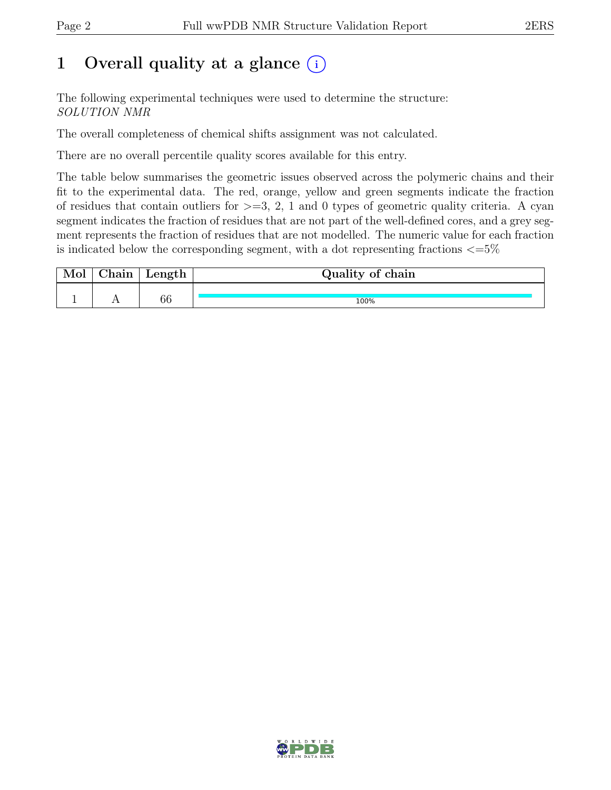## 1 Overall quality at a glance  $(i)$

The following experimental techniques were used to determine the structure: SOLUTION NMR

The overall completeness of chemical shifts assignment was not calculated.

There are no overall percentile quality scores available for this entry.

The table below summarises the geometric issues observed across the polymeric chains and their fit to the experimental data. The red, orange, yellow and green segments indicate the fraction of residues that contain outliers for  $\geq$ =3, 2, 1 and 0 types of geometric quality criteria. A cyan segment indicates the fraction of residues that are not part of the well-defined cores, and a grey segment represents the fraction of residues that are not modelled. The numeric value for each fraction is indicated below the corresponding segment, with a dot representing fractions  $\epsilon = 5\%$ 

| hain | Length | Quality of chain |
|------|--------|------------------|
|      |        |                  |
|      | 66     | 100%             |

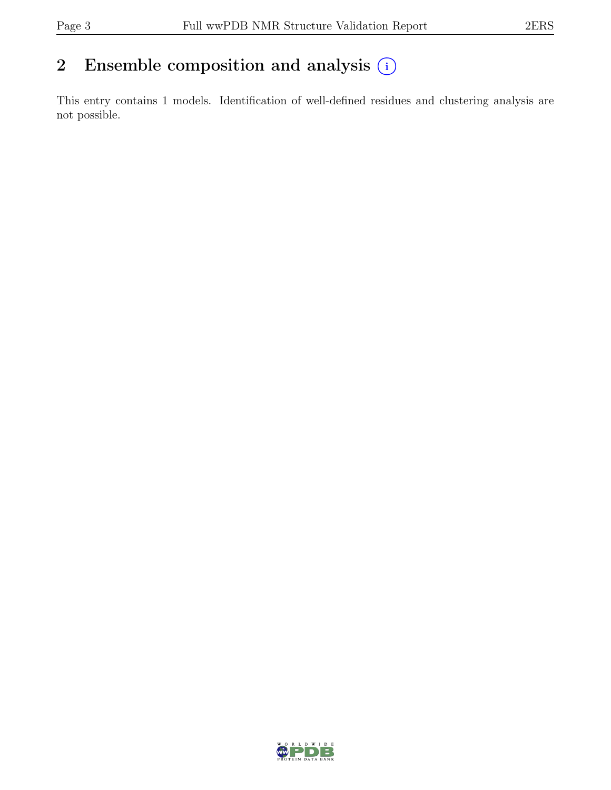## 2 Ensemble composition and analysis  $(i)$

This entry contains 1 models. Identification of well-defined residues and clustering analysis are not possible.

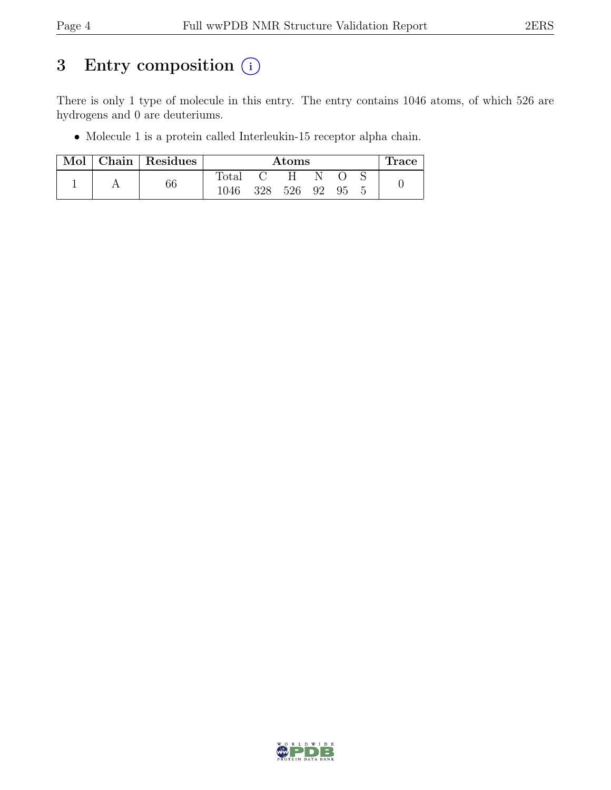## 3 Entry composition (i)

There is only 1 type of molecule in this entry. The entry contains 1046 atoms, of which 526 are hydrogens and 0 are deuteriums.

• Molecule 1 is a protein called Interleukin-15 receptor alpha chain.

| $\operatorname{Mol}$ | $ $ Chain $ $ Residues | Atoms          |     |     |    |     | l race |  |
|----------------------|------------------------|----------------|-----|-----|----|-----|--------|--|
|                      |                        | $\text{Total}$ |     |     |    |     |        |  |
|                      | 66                     | 1046           | 328 | 526 | 92 | -95 |        |  |

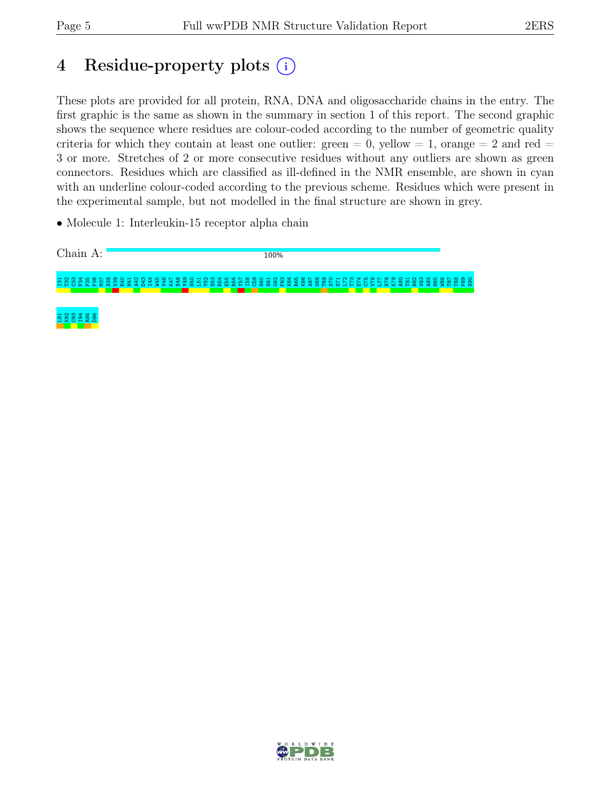## 4 Residue-property plots (i)

These plots are provided for all protein, RNA, DNA and oligosaccharide chains in the entry. The first graphic is the same as shown in the summary in section 1 of this report. The second graphic shows the sequence where residues are colour-coded according to the number of geometric quality criteria for which they contain at least one outlier: green  $= 0$ , yellow  $= 1$ , orange  $= 2$  and red  $=$ 3 or more. Stretches of 2 or more consecutive residues without any outliers are shown as green connectors. Residues which are classified as ill-defined in the NMR ensemble, are shown in cyan with an underline colour-coded according to the previous scheme. Residues which were present in the experimental sample, but not modelled in the final structure are shown in grey.

• Molecule 1: Interleukin-15 receptor alpha chain



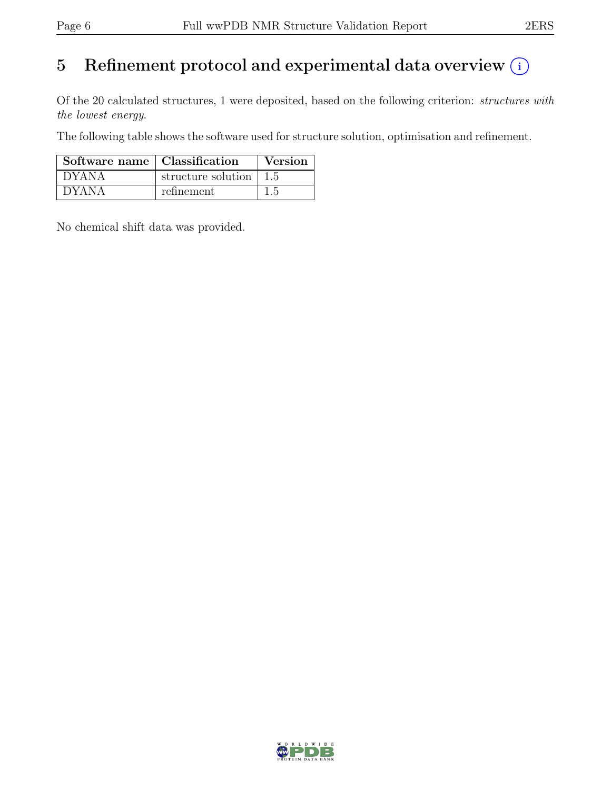## 5 Refinement protocol and experimental data overview  $(i)$

Of the 20 calculated structures, 1 were deposited, based on the following criterion: structures with the lowest energy.

The following table shows the software used for structure solution, optimisation and refinement.

| Software name   Classification |                    | Version |
|--------------------------------|--------------------|---------|
| <b>DYANA</b>                   | structure solution |         |
| <b>DYANA</b>                   | refinement         |         |

No chemical shift data was provided.

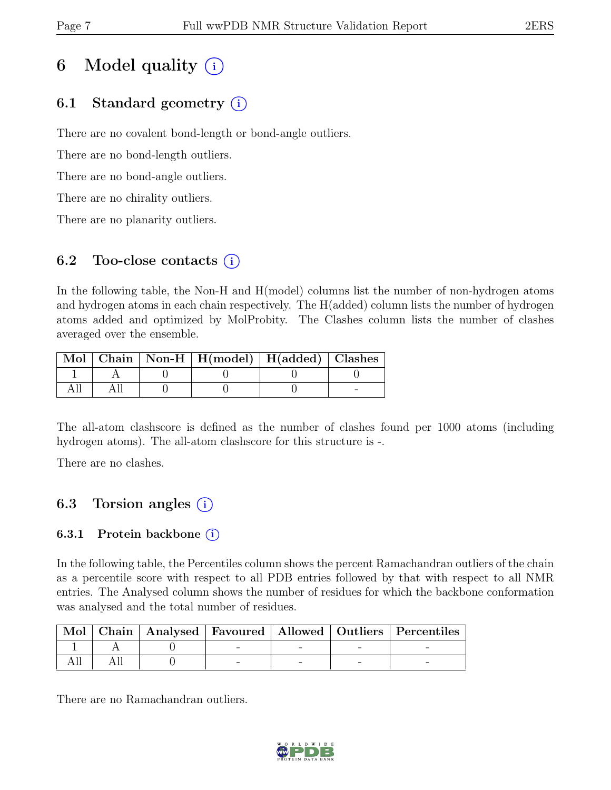## 6 Model quality  $(i)$

### 6.1 Standard geometry (i)

There are no covalent bond-length or bond-angle outliers.

There are no bond-length outliers.

There are no bond-angle outliers.

There are no chirality outliers.

There are no planarity outliers.

### 6.2 Too-close contacts  $(i)$

In the following table, the Non-H and H(model) columns list the number of non-hydrogen atoms and hydrogen atoms in each chain respectively. The H(added) column lists the number of hydrogen atoms added and optimized by MolProbity. The Clashes column lists the number of clashes averaged over the ensemble.

|  | Mol   Chain   Non-H   H(model)   H(added)   Clashes |  |
|--|-----------------------------------------------------|--|
|  |                                                     |  |
|  |                                                     |  |

The all-atom clashscore is defined as the number of clashes found per 1000 atoms (including hydrogen atoms). The all-atom clashscore for this structure is -.

There are no clashes.

### 6.3 Torsion angles  $(i)$

### 6.3.1 Protein backbone  $(i)$

In the following table, the Percentiles column shows the percent Ramachandran outliers of the chain as a percentile score with respect to all PDB entries followed by that with respect to all NMR entries. The Analysed column shows the number of residues for which the backbone conformation was analysed and the total number of residues.

|  |  |  | Mol   Chain   Analysed   Favoured   Allowed   Outliers   Percentiles |
|--|--|--|----------------------------------------------------------------------|
|  |  |  |                                                                      |
|  |  |  |                                                                      |

There are no Ramachandran outliers.

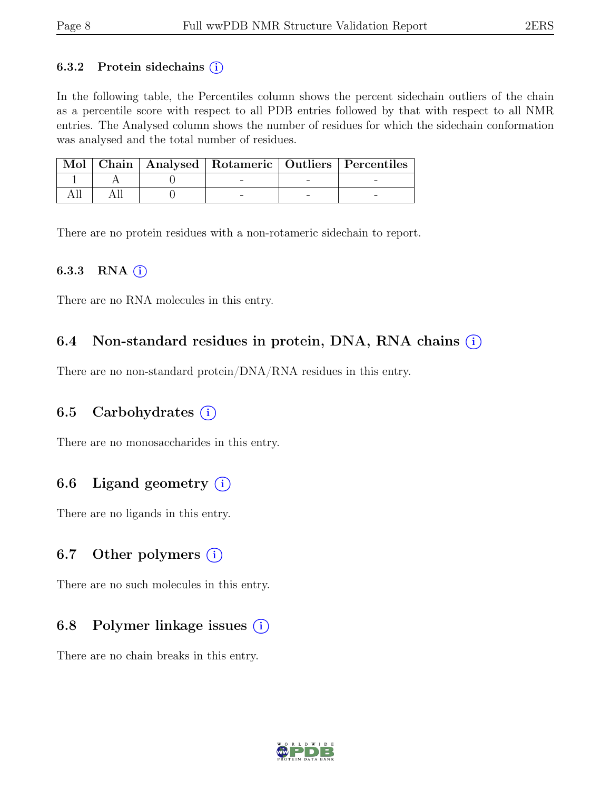#### 6.3.2 Protein sidechains  $(i)$

In the following table, the Percentiles column shows the percent sidechain outliers of the chain as a percentile score with respect to all PDB entries followed by that with respect to all NMR entries. The Analysed column shows the number of residues for which the sidechain conformation was analysed and the total number of residues.

|  |  | Mol   Chain   Analysed   Rotameric   Outliers   Percentiles |
|--|--|-------------------------------------------------------------|
|  |  |                                                             |
|  |  |                                                             |

There are no protein residues with a non-rotameric sidechain to report.

#### 6.3.3 RNA  $(i)$

There are no RNA molecules in this entry.

### 6.4 Non-standard residues in protein, DNA, RNA chains  $(i)$

There are no non-standard protein/DNA/RNA residues in this entry.

### 6.5 Carbohydrates  $(i)$

There are no monosaccharides in this entry.

### 6.6 Ligand geometry  $(i)$

There are no ligands in this entry.

#### 6.7 Other polymers  $(i)$

There are no such molecules in this entry.

### 6.8 Polymer linkage issues  $(i)$

There are no chain breaks in this entry.